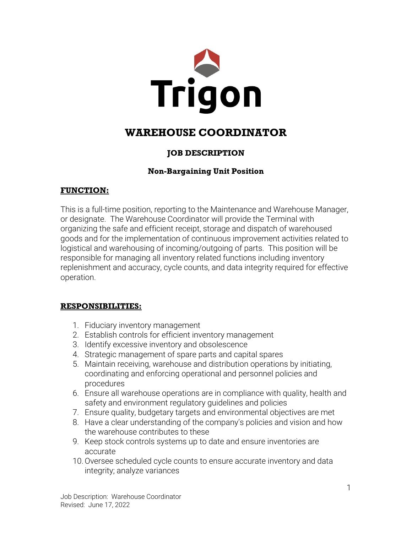

# **WAREHOUSE COORDINATOR**

# **JOB DESCRIPTION**

# **Non-Bargaining Unit Position**

## **FUNCTION:**

This is a full-time position, reporting to the Maintenance and Warehouse Manager, or designate. The Warehouse Coordinator will provide the Terminal with organizing the safe and efficient receipt, storage and dispatch of warehoused goods and for the implementation of continuous improvement activities related to logistical and warehousing of incoming/outgoing of parts. This position will be responsible for managing all inventory related functions including inventory replenishment and accuracy, cycle counts, and data integrity required for effective operation.

## **RESPONSIBILITIES:**

- 1. Fiduciary inventory management
- 2. Establish controls for efficient inventory management
- 3. Identify excessive inventory and obsolescence
- 4. Strategic management of spare parts and capital spares
- 5. Maintain receiving, warehouse and distribution operations by initiating, coordinating and enforcing operational and personnel policies and procedures
- 6. Ensure all warehouse operations are in compliance with quality, health and safety and environment regulatory guidelines and policies
- 7. Ensure quality, budgetary targets and environmental objectives are met
- 8. Have a clear understanding of the company's policies and vision and how the warehouse contributes to these
- 9. Keep stock controls systems up to date and ensure inventories are accurate
- 10.Oversee scheduled cycle counts to ensure accurate inventory and data integrity; analyze variances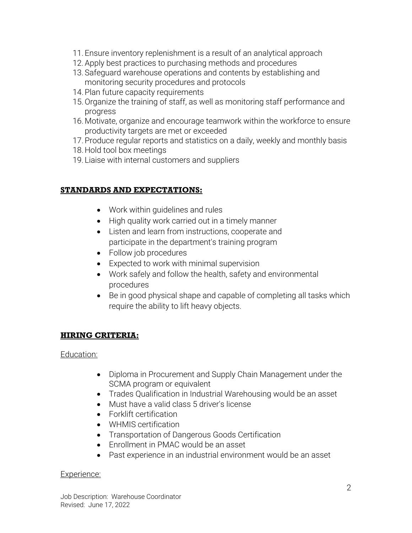- 11. Ensure inventory replenishment is a result of an analytical approach
- 12.Apply best practices to purchasing methods and procedures
- 13. Safeguard warehouse operations and contents by establishing and monitoring security procedures and protocols
- 14. Plan future capacity requirements
- 15.Organize the training of staff, as well as monitoring staff performance and progress
- 16. Motivate, organize and encourage teamwork within the workforce to ensure productivity targets are met or exceeded
- 17.Produce regular reports and statistics on a daily, weekly and monthly basis
- 18. Hold tool box meetings
- 19. Liaise with internal customers and suppliers

## **STANDARDS AND EXPECTATIONS:**

- Work within guidelines and rules
- High quality work carried out in a timely manner
- Listen and learn from instructions, cooperate and participate in the department's training program
- Follow job procedures
- Expected to work with minimal supervision
- Work safely and follow the health, safety and environmental procedures
- Be in good physical shape and capable of completing all tasks which require the ability to lift heavy objects.

#### **HIRING CRITERIA:**

#### Education:

- Diploma in Procurement and Supply Chain Management under the SCMA program or equivalent
- Trades Qualification in Industrial Warehousing would be an asset
- Must have a valid class 5 driver's license
- Forklift certification
- WHMIS certification
- Transportation of Dangerous Goods Certification
- Enrollment in PMAC would be an asset
- Past experience in an industrial environment would be an asset

#### Experience: